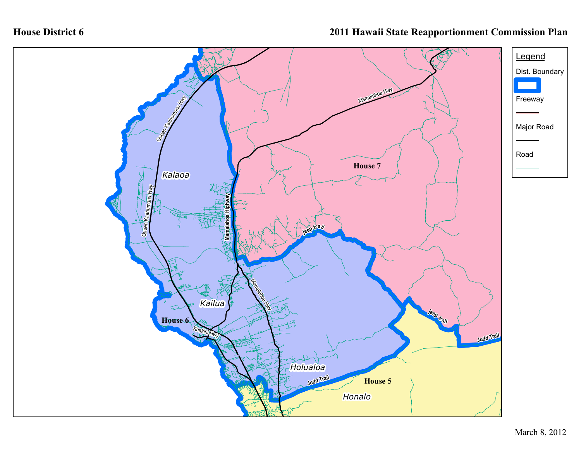## **House District 6**

## **2011 Hawaii State Reapportionment Commission Plan**